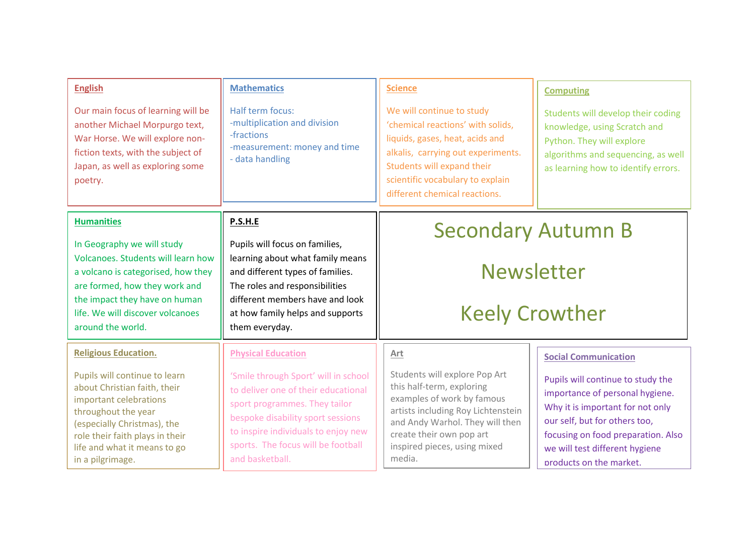| <b>English</b><br>Our main focus of learning will be<br>another Michael Morpurgo text,<br>War Horse. We will explore non-<br>fiction texts, with the subject of<br>Japan, as well as exploring some<br>poetry.                                                      | <b>Mathematics</b><br>Half term focus:<br>-multiplication and division<br>-fractions<br>-measurement: money and time<br>- data handling                                                                                                                                        | <b>Science</b><br>We will continue to study<br>'chemical reactions' with solids,<br>liquids, gases, heat, acids and<br>alkalis, carrying out experiments.<br>Students will expand their<br>scientific vocabulary to explain<br>different chemical reactions. | <b>Computing</b><br>Students will develop their coding<br>knowledge, using Scratch and<br>Python. They will explore<br>algorithms and sequencing, as well<br>as learning how to identify errors.                                                                            |
|---------------------------------------------------------------------------------------------------------------------------------------------------------------------------------------------------------------------------------------------------------------------|--------------------------------------------------------------------------------------------------------------------------------------------------------------------------------------------------------------------------------------------------------------------------------|--------------------------------------------------------------------------------------------------------------------------------------------------------------------------------------------------------------------------------------------------------------|-----------------------------------------------------------------------------------------------------------------------------------------------------------------------------------------------------------------------------------------------------------------------------|
| <b>Humanities</b><br>In Geography we will study<br>Volcanoes. Students will learn how<br>a volcano is categorised, how they<br>are formed, how they work and<br>the impact they have on human<br>life. We will discover volcanoes<br>around the world.              | P.S.H.E<br>Pupils will focus on families,<br>learning about what family means<br>and different types of families.<br>The roles and responsibilities<br>different members have and look<br>at how family helps and supports<br>them everyday.                                   | <b>Secondary Autumn B</b><br><b>Newsletter</b><br><b>Keely Crowther</b>                                                                                                                                                                                      |                                                                                                                                                                                                                                                                             |
| <b>Religious Education.</b><br>Pupils will continue to learn<br>about Christian faith, their<br>important celebrations<br>throughout the year<br>(especially Christmas), the<br>role their faith plays in their<br>life and what it means to go<br>in a pilgrimage. | <b>Physical Education</b><br>'Smile through Sport' will in school<br>to deliver one of their educational<br>sport programmes. They tailor<br>bespoke disability sport sessions<br>to inspire individuals to enjoy new<br>sports. The focus will be football<br>and basketball. | Art<br>Students will explore Pop Art<br>this half-term, exploring<br>examples of work by famous<br>artists including Roy Lichtenstein<br>and Andy Warhol. They will then<br>create their own pop art<br>inspired pieces, using mixed<br>media.               | <b>Social Communication</b><br>Pupils will continue to study the<br>importance of personal hygiene.<br>Why it is important for not only<br>our self, but for others too,<br>focusing on food preparation. Also<br>we will test different hygiene<br>products on the market. |